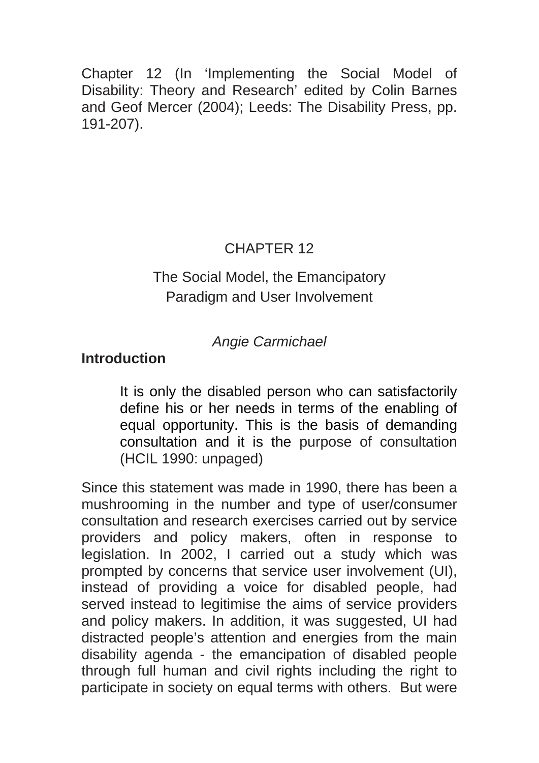Chapter 12 (In 'Implementing the Social Model of Disability: Theory and Research' edited by Colin Barnes and Geof Mercer (2004); Leeds: The Disability Press, pp. 191-207).

# CHAPTER 12

# The Social Model, the Emancipatory Paradigm and User Involvement

# *Angie Carmichael*

## **Introduction**

It is only the disabled person who can satisfactorily define his or her needs in terms of the enabling of equal opportunity. This is the basis of demanding consultation and it is the purpose of consultation (HCIL 1990: unpaged)

Since this statement was made in 1990, there has been a mushrooming in the number and type of user/consumer consultation and research exercises carried out by service providers and policy makers, often in response to legislation. In 2002, I carried out a study which was prompted by concerns that service user involvement (UI), instead of providing a voice for disabled people, had served instead to legitimise the aims of service providers and policy makers. In addition, it was suggested, UI had distracted people's attention and energies from the main disability agenda - the emancipation of disabled people through full human and civil rights including the right to participate in society on equal terms with others. But were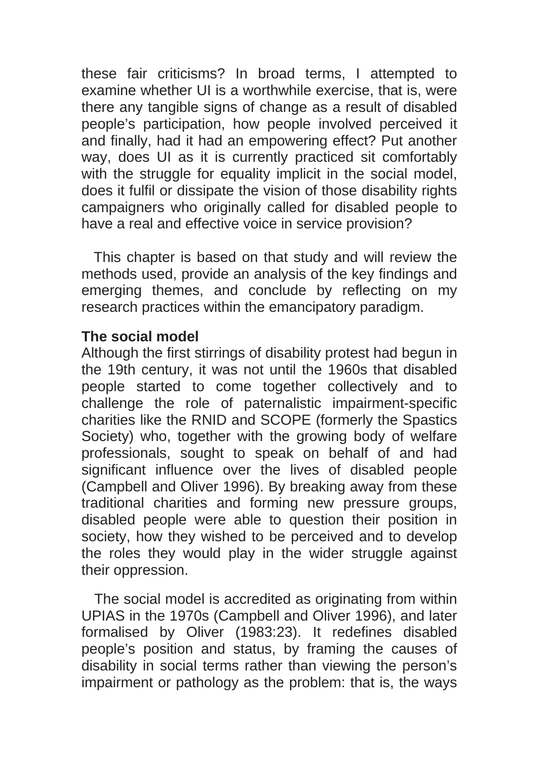these fair criticisms? In broad terms, I attempted to examine whether UI is a worthwhile exercise, that is, were there any tangible signs of change as a result of disabled people's participation, how people involved perceived it and finally, had it had an empowering effect? Put another way, does UI as it is currently practiced sit comfortably with the struggle for equality implicit in the social model, does it fulfil or dissipate the vision of those disability rights campaigners who originally called for disabled people to have a real and effective voice in service provision?

This chapter is based on that study and will review the methods used, provide an analysis of the key findings and emerging themes, and conclude by reflecting on my research practices within the emancipatory paradigm.

#### **The social model**

Although the first stirrings of disability protest had begun in the 19th century, it was not until the 1960s that disabled people started to come together collectively and to challenge the role of paternalistic impairment-specific charities like the RNID and SCOPE (formerly the Spastics Society) who, together with the growing body of welfare professionals, sought to speak on behalf of and had significant influence over the lives of disabled people (Campbell and Oliver 1996). By breaking away from these traditional charities and forming new pressure groups, disabled people were able to question their position in society, how they wished to be perceived and to develop the roles they would play in the wider struggle against their oppression.

The social model is accredited as originating from within UPIAS in the 1970s (Campbell and Oliver 1996), and later formalised by Oliver (1983:23). It redefines disabled people's position and status, by framing the causes of disability in social terms rather than viewing the person's impairment or pathology as the problem: that is, the ways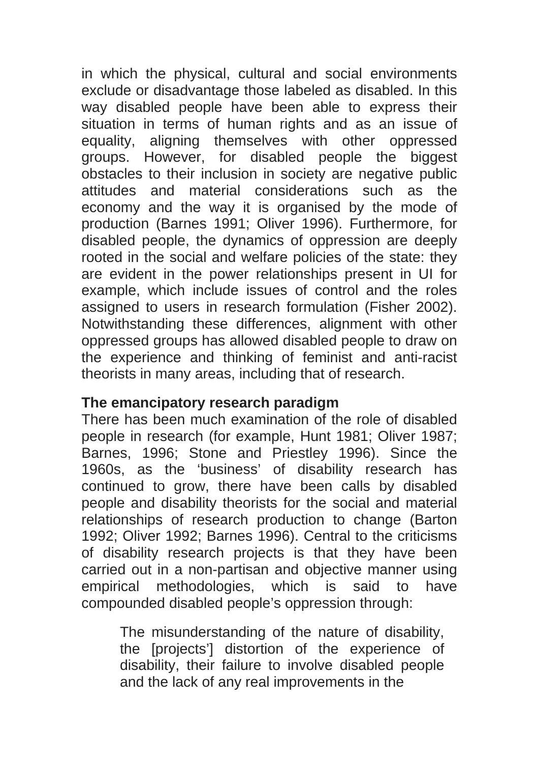in which the physical, cultural and social environments exclude or disadvantage those labeled as disabled. In this way disabled people have been able to express their situation in terms of human rights and as an issue of equality, aligning themselves with other oppressed groups. However, for disabled people the biggest obstacles to their inclusion in society are negative public attitudes and material considerations such as the economy and the way it is organised by the mode of production (Barnes 1991; Oliver 1996). Furthermore, for disabled people, the dynamics of oppression are deeply rooted in the social and welfare policies of the state: they are evident in the power relationships present in UI for example, which include issues of control and the roles assigned to users in research formulation (Fisher 2002). Notwithstanding these differences, alignment with other oppressed groups has allowed disabled people to draw on the experience and thinking of feminist and anti-racist theorists in many areas, including that of research.

### **The emancipatory research paradigm**

There has been much examination of the role of disabled people in research (for example, Hunt 1981; Oliver 1987; Barnes, 1996; Stone and Priestley 1996). Since the 1960s, as the 'business' of disability research has continued to grow, there have been calls by disabled people and disability theorists for the social and material relationships of research production to change (Barton 1992; Oliver 1992; Barnes 1996). Central to the criticisms of disability research projects is that they have been carried out in a non-partisan and objective manner using empirical methodologies, which is said to have compounded disabled people's oppression through:

> The misunderstanding of the nature of disability, the [projects'] distortion of the experience of disability, their failure to involve disabled people and the lack of any real improvements in the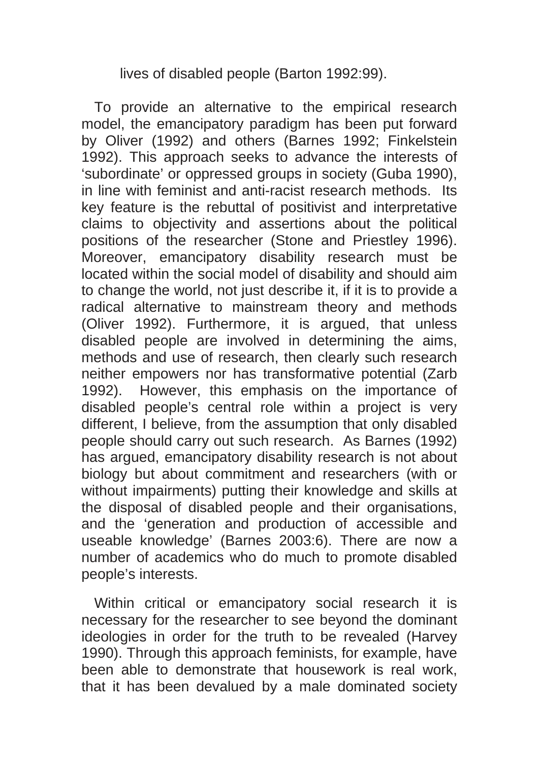lives of disabled people (Barton 1992:99).

To provide an alternative to the empirical research model, the emancipatory paradigm has been put forward by Oliver (1992) and others (Barnes 1992; Finkelstein 1992). This approach seeks to advance the interests of 'subordinate' or oppressed groups in society (Guba 1990), in line with feminist and anti-racist research methods. Its key feature is the rebuttal of positivist and interpretative claims to objectivity and assertions about the political positions of the researcher (Stone and Priestley 1996). Moreover, emancipatory disability research must be located within the social model of disability and should aim to change the world, not just describe it, if it is to provide a radical alternative to mainstream theory and methods (Oliver 1992). Furthermore, it is argued, that unless disabled people are involved in determining the aims, methods and use of research, then clearly such research neither empowers nor has transformative potential (Zarb 1992). However, this emphasis on the importance of disabled people's central role within a project is very different, I believe, from the assumption that only disabled people should carry out such research. As Barnes (1992) has argued, emancipatory disability research is not about biology but about commitment and researchers (with or without impairments) putting their knowledge and skills at the disposal of disabled people and their organisations, and the 'generation and production of accessible and useable knowledge' (Barnes 2003:6). There are now a number of academics who do much to promote disabled people's interests.

Within critical or emancipatory social research it is necessary for the researcher to see beyond the dominant ideologies in order for the truth to be revealed (Harvey 1990). Through this approach feminists, for example, have been able to demonstrate that housework is real work, that it has been devalued by a male dominated society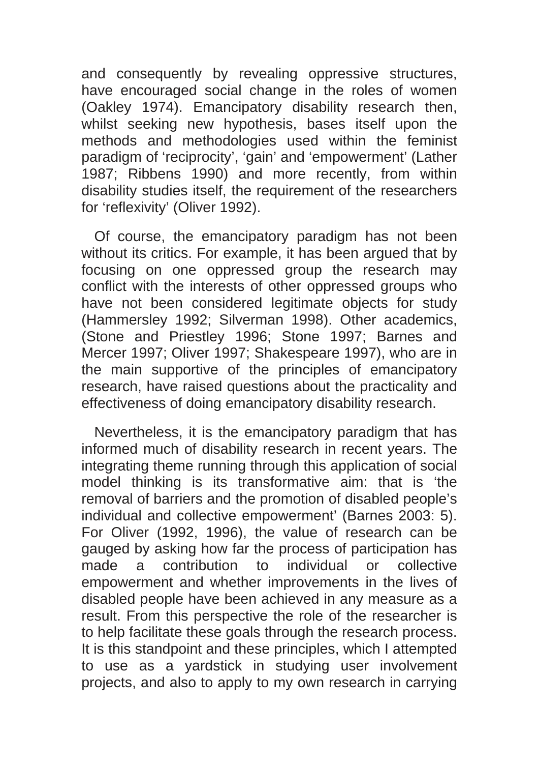and consequently by revealing oppressive structures, have encouraged social change in the roles of women (Oakley 1974). Emancipatory disability research then, whilst seeking new hypothesis, bases itself upon the methods and methodologies used within the feminist paradigm of 'reciprocity', 'gain' and 'empowerment' (Lather 1987; Ribbens 1990) and more recently, from within disability studies itself, the requirement of the researchers for 'reflexivity' (Oliver 1992).

Of course, the emancipatory paradigm has not been without its critics. For example, it has been argued that by focusing on one oppressed group the research may conflict with the interests of other oppressed groups who have not been considered legitimate objects for study (Hammersley 1992; Silverman 1998). Other academics, (Stone and Priestley 1996; Stone 1997; Barnes and Mercer 1997; Oliver 1997; Shakespeare 1997), who are in the main supportive of the principles of emancipatory research, have raised questions about the practicality and effectiveness of doing emancipatory disability research.

Nevertheless, it is the emancipatory paradigm that has informed much of disability research in recent years. The integrating theme running through this application of social model thinking is its transformative aim: that is 'the removal of barriers and the promotion of disabled people's individual and collective empowerment' (Barnes 2003: 5). For Oliver (1992, 1996), the value of research can be gauged by asking how far the process of participation has made a contribution to individual or collective empowerment and whether improvements in the lives of disabled people have been achieved in any measure as a result. From this perspective the role of the researcher is to help facilitate these goals through the research process. It is this standpoint and these principles, which I attempted to use as a yardstick in studying user involvement projects, and also to apply to my own research in carrying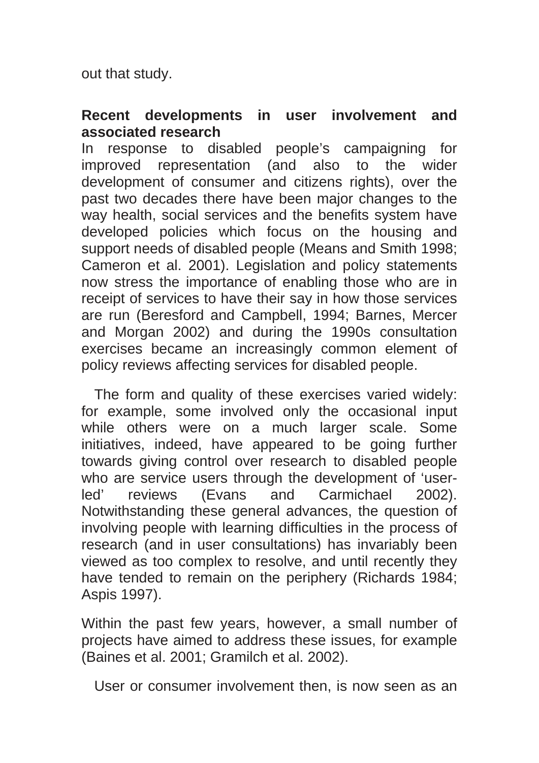out that study.

#### **Recent developments in user involvement and associated research**

In response to disabled people's campaigning for improved representation (and also to the wider development of consumer and citizens rights), over the past two decades there have been major changes to the way health, social services and the benefits system have developed policies which focus on the housing and support needs of disabled people (Means and Smith 1998; Cameron et al. 2001). Legislation and policy statements now stress the importance of enabling those who are in receipt of services to have their say in how those services are run (Beresford and Campbell, 1994; Barnes, Mercer and Morgan 2002) and during the 1990s consultation exercises became an increasingly common element of policy reviews affecting services for disabled people.

The form and quality of these exercises varied widely: for example, some involved only the occasional input while others were on a much larger scale. Some initiatives, indeed, have appeared to be going further towards giving control over research to disabled people who are service users through the development of 'userled' reviews (Evans and Carmichael 2002). Notwithstanding these general advances, the question of involving people with learning difficulties in the process of research (and in user consultations) has invariably been viewed as too complex to resolve, and until recently they have tended to remain on the periphery (Richards 1984; Aspis 1997).

Within the past few years, however, a small number of projects have aimed to address these issues, for example (Baines et al. 2001; Gramilch et al. 2002).

User or consumer involvement then, is now seen as an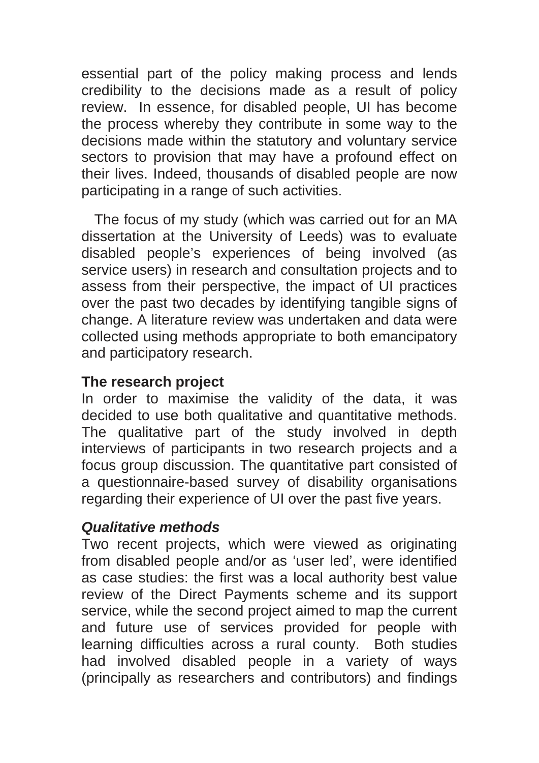essential part of the policy making process and lends credibility to the decisions made as a result of policy review. In essence, for disabled people, UI has become the process whereby they contribute in some way to the decisions made within the statutory and voluntary service sectors to provision that may have a profound effect on their lives. Indeed, thousands of disabled people are now participating in a range of such activities.

The focus of my study (which was carried out for an MA dissertation at the University of Leeds) was to evaluate disabled people's experiences of being involved (as service users) in research and consultation projects and to assess from their perspective, the impact of UI practices over the past two decades by identifying tangible signs of change. A literature review was undertaken and data were collected using methods appropriate to both emancipatory and participatory research.

#### **The research project**

In order to maximise the validity of the data, it was decided to use both qualitative and quantitative methods. The qualitative part of the study involved in depth interviews of participants in two research projects and a focus group discussion. The quantitative part consisted of a questionnaire-based survey of disability organisations regarding their experience of UI over the past five years.

### *Qualitative methods*

Two recent projects, which were viewed as originating from disabled people and/or as 'user led', were identified as case studies: the first was a local authority best value review of the Direct Payments scheme and its support service, while the second project aimed to map the current and future use of services provided for people with learning difficulties across a rural county. Both studies had involved disabled people in a variety of ways (principally as researchers and contributors) and findings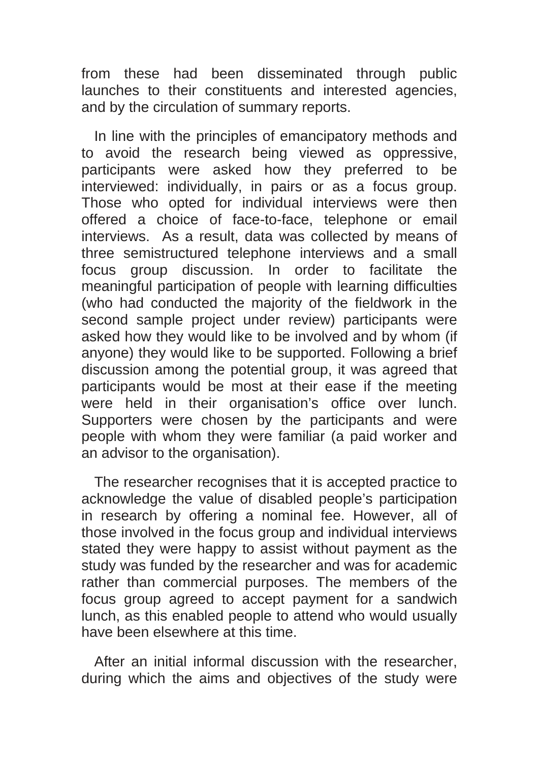from these had been disseminated through public launches to their constituents and interested agencies, and by the circulation of summary reports.

In line with the principles of emancipatory methods and to avoid the research being viewed as oppressive, participants were asked how they preferred to be interviewed: individually, in pairs or as a focus group. Those who opted for individual interviews were then offered a choice of face-to-face, telephone or email interviews. As a result, data was collected by means of three semistructured telephone interviews and a small focus group discussion. In order to facilitate the meaningful participation of people with learning difficulties (who had conducted the majority of the fieldwork in the second sample project under review) participants were asked how they would like to be involved and by whom (if anyone) they would like to be supported. Following a brief discussion among the potential group, it was agreed that participants would be most at their ease if the meeting were held in their organisation's office over lunch. Supporters were chosen by the participants and were people with whom they were familiar (a paid worker and an advisor to the organisation).

The researcher recognises that it is accepted practice to acknowledge the value of disabled people's participation in research by offering a nominal fee. However, all of those involved in the focus group and individual interviews stated they were happy to assist without payment as the study was funded by the researcher and was for academic rather than commercial purposes. The members of the focus group agreed to accept payment for a sandwich lunch, as this enabled people to attend who would usually have been elsewhere at this time.

After an initial informal discussion with the researcher, during which the aims and objectives of the study were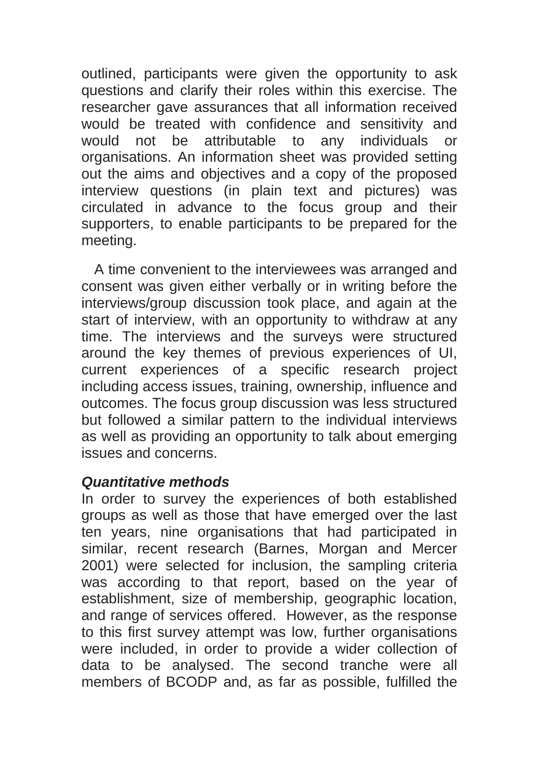outlined, participants were given the opportunity to ask questions and clarify their roles within this exercise. The researcher gave assurances that all information received would be treated with confidence and sensitivity and would not be attributable to any individuals or organisations. An information sheet was provided setting out the aims and objectives and a copy of the proposed interview questions (in plain text and pictures) was circulated in advance to the focus group and their supporters, to enable participants to be prepared for the meeting.

A time convenient to the interviewees was arranged and consent was given either verbally or in writing before the interviews/group discussion took place, and again at the start of interview, with an opportunity to withdraw at any time. The interviews and the surveys were structured around the key themes of previous experiences of UI, current experiences of a specific research project including access issues, training, ownership, influence and outcomes. The focus group discussion was less structured but followed a similar pattern to the individual interviews as well as providing an opportunity to talk about emerging issues and concerns.

### *Quantitative methods*

In order to survey the experiences of both established groups as well as those that have emerged over the last ten years, nine organisations that had participated in similar, recent research (Barnes, Morgan and Mercer 2001) were selected for inclusion, the sampling criteria was according to that report, based on the year of establishment, size of membership, geographic location, and range of services offered. However, as the response to this first survey attempt was low, further organisations were included, in order to provide a wider collection of data to be analysed. The second tranche were all members of BCODP and, as far as possible, fulfilled the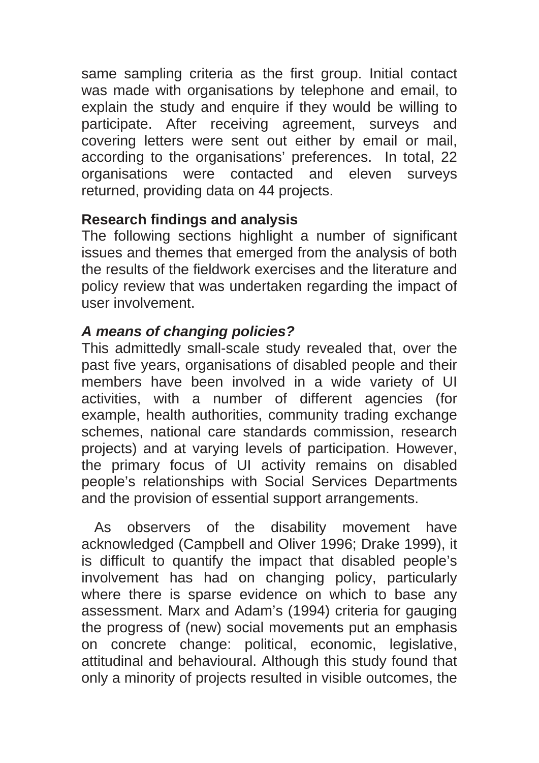same sampling criteria as the first group. Initial contact was made with organisations by telephone and email, to explain the study and enquire if they would be willing to participate. After receiving agreement, surveys and covering letters were sent out either by email or mail, according to the organisations' preferences. In total, 22 organisations were contacted and eleven surveys returned, providing data on 44 projects.

# **Research findings and analysis**

The following sections highlight a number of significant issues and themes that emerged from the analysis of both the results of the fieldwork exercises and the literature and policy review that was undertaken regarding the impact of user involvement.

# *A means of changing policies?*

This admittedly small-scale study revealed that, over the past five years, organisations of disabled people and their members have been involved in a wide variety of UI activities, with a number of different agencies (for example, health authorities, community trading exchange schemes, national care standards commission, research projects) and at varying levels of participation. However, the primary focus of UI activity remains on disabled people's relationships with Social Services Departments and the provision of essential support arrangements.

As observers of the disability movement have acknowledged (Campbell and Oliver 1996; Drake 1999), it is difficult to quantify the impact that disabled people's involvement has had on changing policy, particularly where there is sparse evidence on which to base any assessment. Marx and Adam's (1994) criteria for gauging the progress of (new) social movements put an emphasis on concrete change: political, economic, legislative, attitudinal and behavioural. Although this study found that only a minority of projects resulted in visible outcomes, the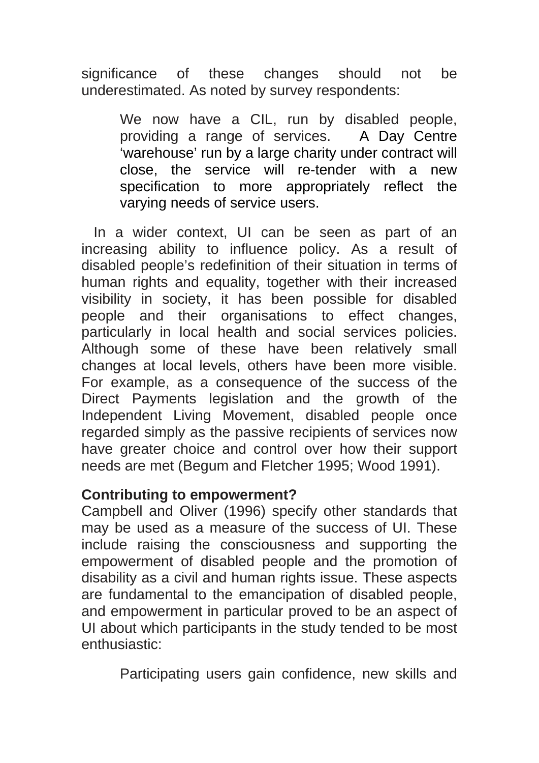significance of these changes should not be underestimated. As noted by survey respondents:

We now have a CIL, run by disabled people, providing a range of services. A Day Centre 'warehouse' run by a large charity under contract will close, the service will re-tender with a new specification to more appropriately reflect the varying needs of service users.

In a wider context, UI can be seen as part of an increasing ability to influence policy. As a result of disabled people's redefinition of their situation in terms of human rights and equality, together with their increased visibility in society, it has been possible for disabled people and their organisations to effect changes, particularly in local health and social services policies. Although some of these have been relatively small changes at local levels, others have been more visible. For example, as a consequence of the success of the Direct Payments legislation and the growth of the Independent Living Movement, disabled people once regarded simply as the passive recipients of services now have greater choice and control over how their support needs are met (Begum and Fletcher 1995; Wood 1991).

#### **Contributing to empowerment?**

Campbell and Oliver (1996) specify other standards that may be used as a measure of the success of UI. These include raising the consciousness and supporting the empowerment of disabled people and the promotion of disability as a civil and human rights issue. These aspects are fundamental to the emancipation of disabled people, and empowerment in particular proved to be an aspect of UI about which participants in the study tended to be most enthusiastic:

Participating users gain confidence, new skills and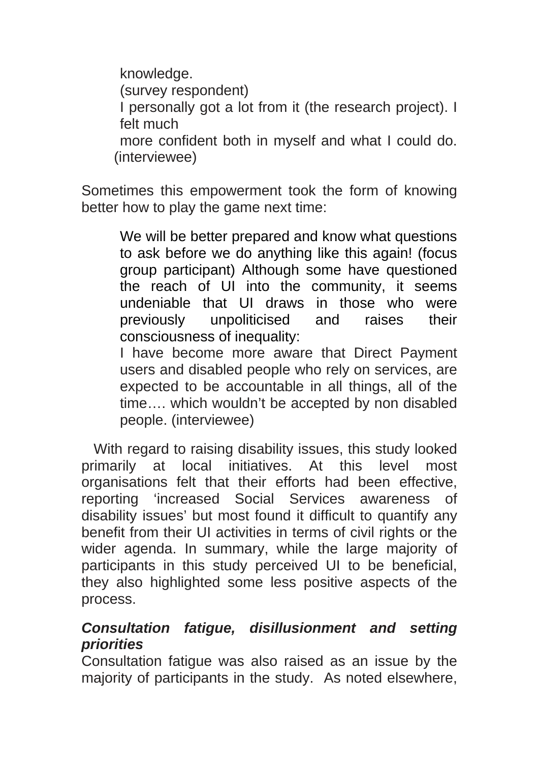knowledge. (survey respondent) I personally got a lot from it (the research project). I felt much more confident both in myself and what I could do. (interviewee)

Sometimes this empowerment took the form of knowing better how to play the game next time:

We will be better prepared and know what questions to ask before we do anything like this again! (focus group participant) Although some have questioned the reach of UI into the community, it seems undeniable that UI draws in those who were previously unpoliticised and raises their consciousness of inequality:

I have become more aware that Direct Payment users and disabled people who rely on services, are expected to be accountable in all things, all of the time…. which wouldn't be accepted by non disabled people. (interviewee)

With regard to raising disability issues, this study looked primarily at local initiatives. At this level most organisations felt that their efforts had been effective, reporting 'increased Social Services awareness of disability issues' but most found it difficult to quantify any benefit from their UI activities in terms of civil rights or the wider agenda. In summary, while the large majority of participants in this study perceived UI to be beneficial, they also highlighted some less positive aspects of the process.

### *Consultation fatigue, disillusionment and setting priorities*

Consultation fatigue was also raised as an issue by the majority of participants in the study. As noted elsewhere,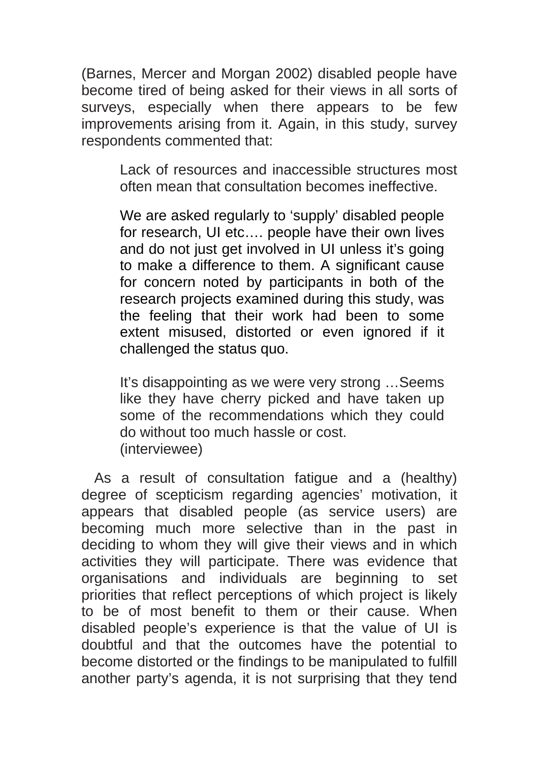(Barnes, Mercer and Morgan 2002) disabled people have become tired of being asked for their views in all sorts of surveys, especially when there appears to be few improvements arising from it. Again, in this study, survey respondents commented that:

> Lack of resources and inaccessible structures most often mean that consultation becomes ineffective.

We are asked regularly to 'supply' disabled people for research, UI etc…. people have their own lives and do not just get involved in UI unless it's going to make a difference to them. A significant cause for concern noted by participants in both of the research projects examined during this study, was the feeling that their work had been to some extent misused, distorted or even ignored if it challenged the status quo.

It's disappointing as we were very strong …Seems like they have cherry picked and have taken up some of the recommendations which they could do without too much hassle or cost. (interviewee)

As a result of consultation fatigue and a (healthy) degree of scepticism regarding agencies' motivation, it appears that disabled people (as service users) are becoming much more selective than in the past in deciding to whom they will give their views and in which activities they will participate. There was evidence that organisations and individuals are beginning to set priorities that reflect perceptions of which project is likely to be of most benefit to them or their cause. When disabled people's experience is that the value of UI is doubtful and that the outcomes have the potential to become distorted or the findings to be manipulated to fulfill another party's agenda, it is not surprising that they tend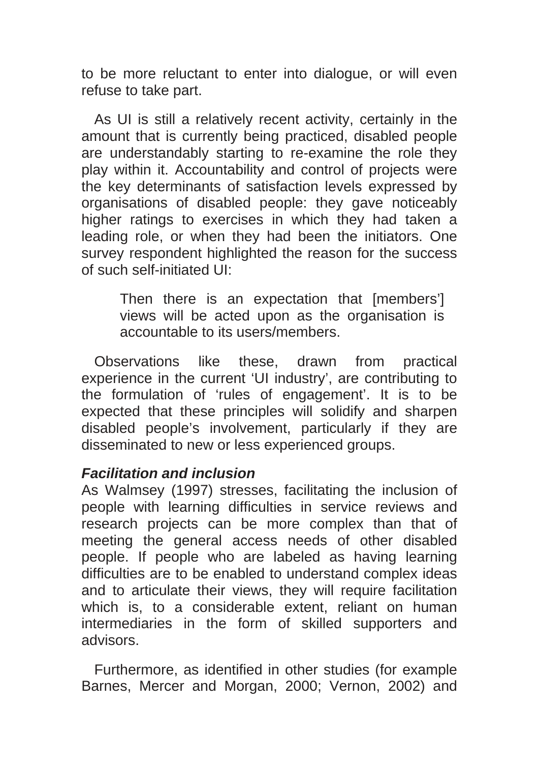to be more reluctant to enter into dialogue, or will even refuse to take part.

As UI is still a relatively recent activity, certainly in the amount that is currently being practiced, disabled people are understandably starting to re-examine the role they play within it. Accountability and control of projects were the key determinants of satisfaction levels expressed by organisations of disabled people: they gave noticeably higher ratings to exercises in which they had taken a leading role, or when they had been the initiators. One survey respondent highlighted the reason for the success of such self-initiated UI:

> Then there is an expectation that [members'] views will be acted upon as the organisation is accountable to its users/members.

Observations like these, drawn from practical experience in the current 'UI industry', are contributing to the formulation of 'rules of engagement'. It is to be expected that these principles will solidify and sharpen disabled people's involvement, particularly if they are disseminated to new or less experienced groups.

### *Facilitation and inclusion*

As Walmsey (1997) stresses, facilitating the inclusion of people with learning difficulties in service reviews and research projects can be more complex than that of meeting the general access needs of other disabled people. If people who are labeled as having learning difficulties are to be enabled to understand complex ideas and to articulate their views, they will require facilitation which is, to a considerable extent, reliant on human intermediaries in the form of skilled supporters and advisors.

Furthermore, as identified in other studies (for example Barnes, Mercer and Morgan, 2000; Vernon, 2002) and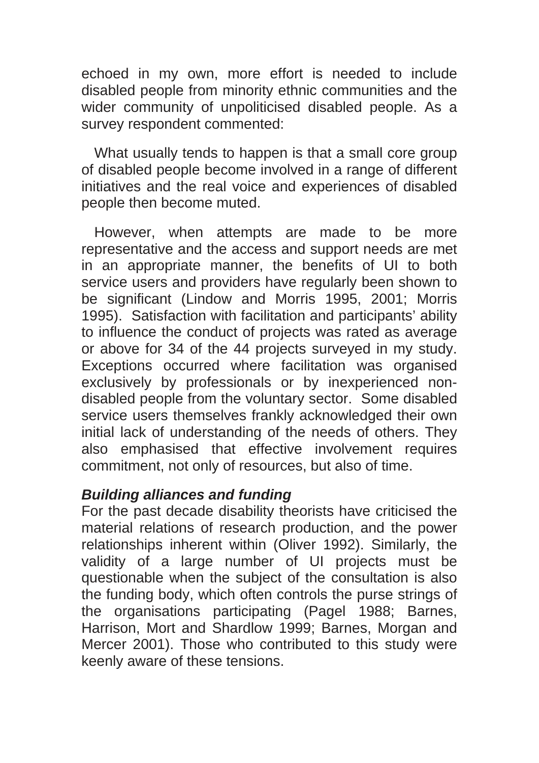echoed in my own, more effort is needed to include disabled people from minority ethnic communities and the wider community of unpoliticised disabled people. As a survey respondent commented:

What usually tends to happen is that a small core group of disabled people become involved in a range of different initiatives and the real voice and experiences of disabled people then become muted.

However, when attempts are made to be more representative and the access and support needs are met in an appropriate manner, the benefits of UI to both service users and providers have regularly been shown to be significant (Lindow and Morris 1995, 2001; Morris 1995). Satisfaction with facilitation and participants' ability to influence the conduct of projects was rated as average or above for 34 of the 44 projects surveyed in my study. Exceptions occurred where facilitation was organised exclusively by professionals or by inexperienced nondisabled people from the voluntary sector. Some disabled service users themselves frankly acknowledged their own initial lack of understanding of the needs of others. They also emphasised that effective involvement requires commitment, not only of resources, but also of time.

### *Building alliances and funding*

For the past decade disability theorists have criticised the material relations of research production, and the power relationships inherent within (Oliver 1992). Similarly, the validity of a large number of UI projects must be questionable when the subject of the consultation is also the funding body, which often controls the purse strings of the organisations participating (Pagel 1988; Barnes, Harrison, Mort and Shardlow 1999; Barnes, Morgan and Mercer 2001). Those who contributed to this study were keenly aware of these tensions.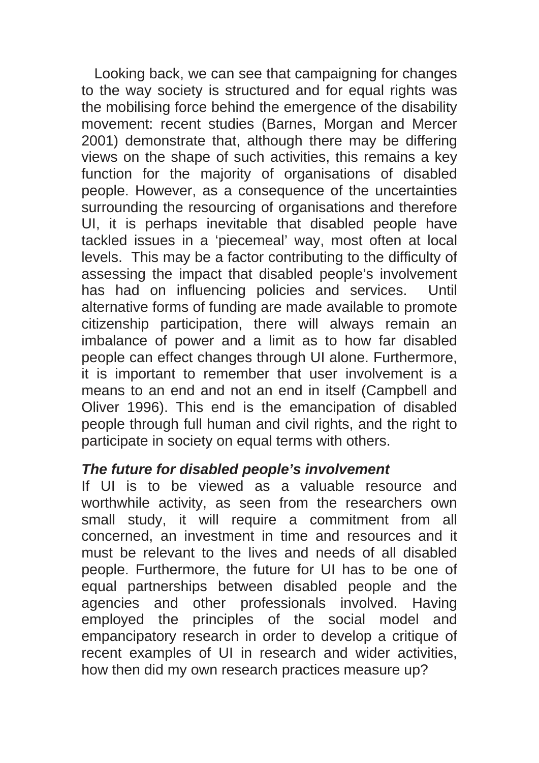Looking back, we can see that campaigning for changes to the way society is structured and for equal rights was the mobilising force behind the emergence of the disability movement: recent studies (Barnes, Morgan and Mercer 2001) demonstrate that, although there may be differing views on the shape of such activities, this remains a key function for the majority of organisations of disabled people. However, as a consequence of the uncertainties surrounding the resourcing of organisations and therefore UI, it is perhaps inevitable that disabled people have tackled issues in a 'piecemeal' way, most often at local levels. This may be a factor contributing to the difficulty of assessing the impact that disabled people's involvement has had on influencing policies and services. Until alternative forms of funding are made available to promote citizenship participation, there will always remain an imbalance of power and a limit as to how far disabled people can effect changes through UI alone. Furthermore, it is important to remember that user involvement is a means to an end and not an end in itself (Campbell and Oliver 1996). This end is the emancipation of disabled people through full human and civil rights, and the right to participate in society on equal terms with others.

### *The future for disabled people's involvement*

If UI is to be viewed as a valuable resource and worthwhile activity, as seen from the researchers own small study, it will require a commitment from all concerned, an investment in time and resources and it must be relevant to the lives and needs of all disabled people. Furthermore, the future for UI has to be one of equal partnerships between disabled people and the agencies and other professionals involved. Having employed the principles of the social model and empancipatory research in order to develop a critique of recent examples of UI in research and wider activities, how then did my own research practices measure up?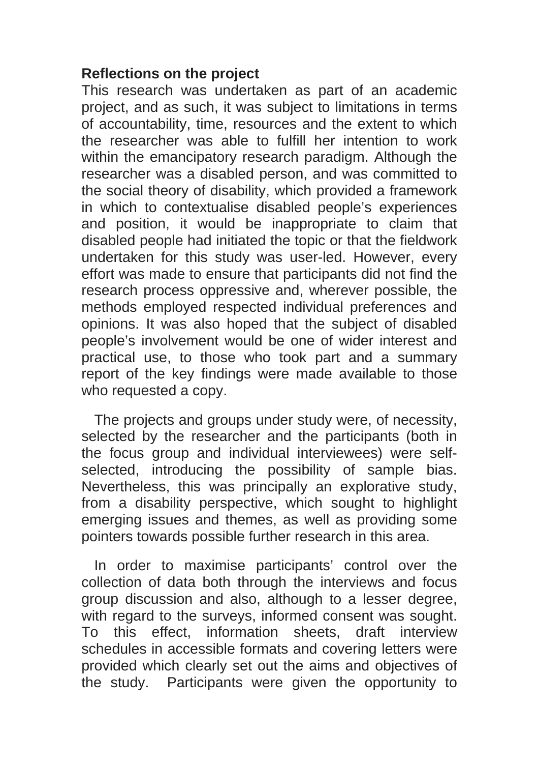### **Reflections on the project**

This research was undertaken as part of an academic project, and as such, it was subject to limitations in terms of accountability, time, resources and the extent to which the researcher was able to fulfill her intention to work within the emancipatory research paradigm. Although the researcher was a disabled person, and was committed to the social theory of disability, which provided a framework in which to contextualise disabled people's experiences and position, it would be inappropriate to claim that disabled people had initiated the topic or that the fieldwork undertaken for this study was user-led. However, every effort was made to ensure that participants did not find the research process oppressive and, wherever possible, the methods employed respected individual preferences and opinions. It was also hoped that the subject of disabled people's involvement would be one of wider interest and practical use, to those who took part and a summary report of the key findings were made available to those who requested a copy.

The projects and groups under study were, of necessity, selected by the researcher and the participants (both in the focus group and individual interviewees) were selfselected, introducing the possibility of sample bias. Nevertheless, this was principally an explorative study, from a disability perspective, which sought to highlight emerging issues and themes, as well as providing some pointers towards possible further research in this area.

In order to maximise participants' control over the collection of data both through the interviews and focus group discussion and also, although to a lesser degree, with regard to the surveys, informed consent was sought. To this effect, information sheets, draft interview schedules in accessible formats and covering letters were provided which clearly set out the aims and objectives of the study. Participants were given the opportunity to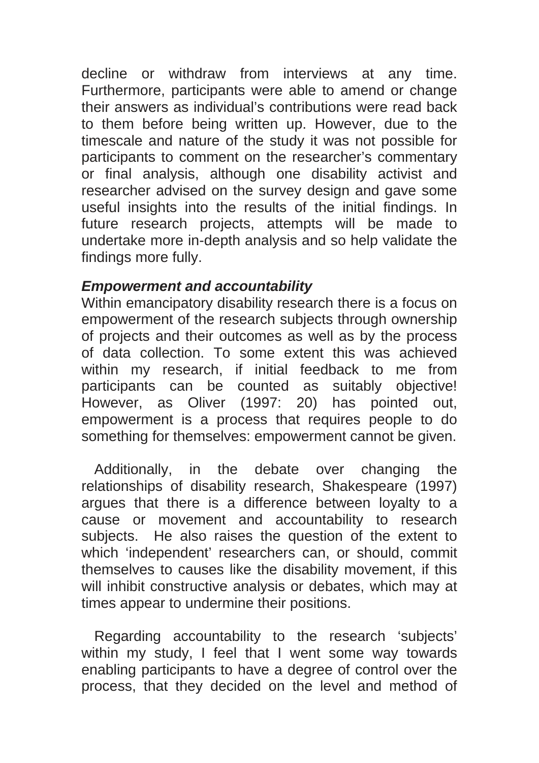decline or withdraw from interviews at any time. Furthermore, participants were able to amend or change their answers as individual's contributions were read back to them before being written up. However, due to the timescale and nature of the study it was not possible for participants to comment on the researcher's commentary or final analysis, although one disability activist and researcher advised on the survey design and gave some useful insights into the results of the initial findings. In future research projects, attempts will be made to undertake more in-depth analysis and so help validate the findings more fully.

### *Empowerment and accountability*

Within emancipatory disability research there is a focus on empowerment of the research subjects through ownership of projects and their outcomes as well as by the process of data collection. To some extent this was achieved within my research, if initial feedback to me from participants can be counted as suitably objective! However, as Oliver (1997: 20) has pointed out, empowerment is a process that requires people to do something for themselves: empowerment cannot be given.

Additionally, in the debate over changing the relationships of disability research, Shakespeare (1997) argues that there is a difference between loyalty to a cause or movement and accountability to research subjects. He also raises the question of the extent to which 'independent' researchers can, or should, commit themselves to causes like the disability movement, if this will inhibit constructive analysis or debates, which may at times appear to undermine their positions.

Regarding accountability to the research 'subjects' within my study, I feel that I went some way towards enabling participants to have a degree of control over the process, that they decided on the level and method of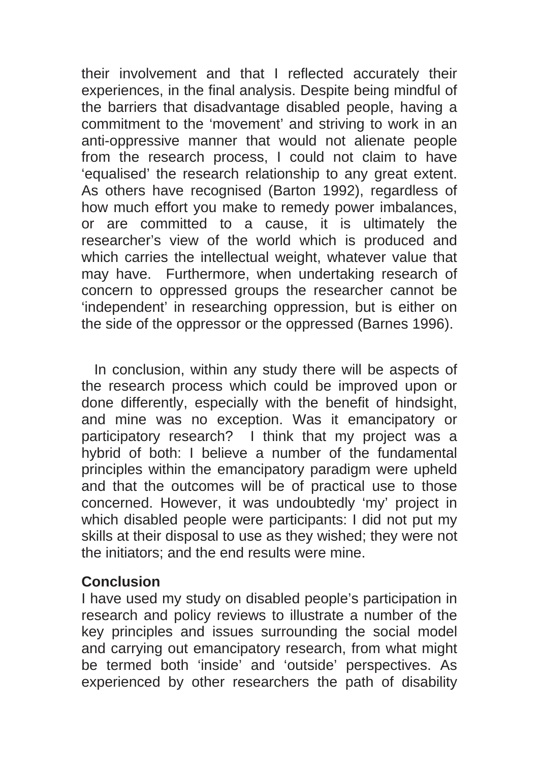their involvement and that I reflected accurately their experiences, in the final analysis. Despite being mindful of the barriers that disadvantage disabled people, having a commitment to the 'movement' and striving to work in an anti-oppressive manner that would not alienate people from the research process, I could not claim to have 'equalised' the research relationship to any great extent. As others have recognised (Barton 1992), regardless of how much effort you make to remedy power imbalances, or are committed to a cause, it is ultimately the researcher's view of the world which is produced and which carries the intellectual weight, whatever value that may have. Furthermore, when undertaking research of concern to oppressed groups the researcher cannot be 'independent' in researching oppression, but is either on the side of the oppressor or the oppressed (Barnes 1996).

In conclusion, within any study there will be aspects of the research process which could be improved upon or done differently, especially with the benefit of hindsight, and mine was no exception. Was it emancipatory or participatory research? I think that my project was a hybrid of both: I believe a number of the fundamental principles within the emancipatory paradigm were upheld and that the outcomes will be of practical use to those concerned. However, it was undoubtedly 'my' project in which disabled people were participants: I did not put my skills at their disposal to use as they wished; they were not the initiators; and the end results were mine.

### **Conclusion**

I have used my study on disabled people's participation in research and policy reviews to illustrate a number of the key principles and issues surrounding the social model and carrying out emancipatory research, from what might be termed both 'inside' and 'outside' perspectives. As experienced by other researchers the path of disability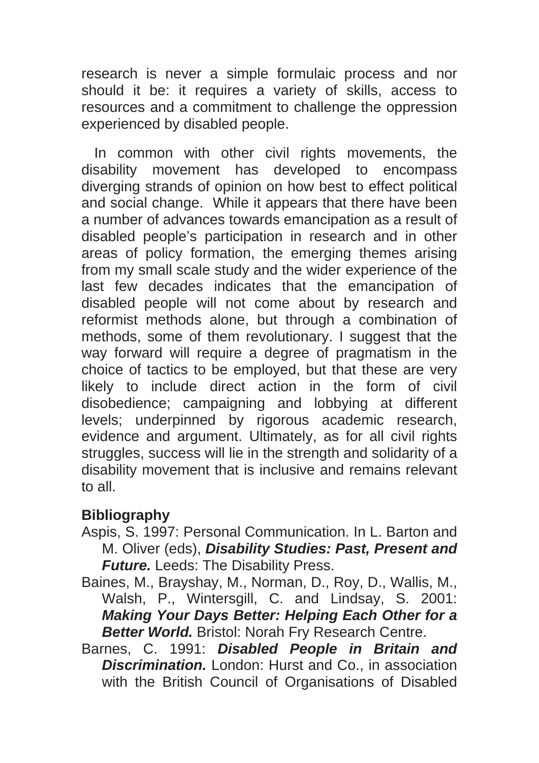research is never a simple formulaic process and nor should it be: it requires a variety of skills, access to resources and a commitment to challenge the oppression experienced by disabled people.

In common with other civil rights movements, the disability movement has developed to encompass diverging strands of opinion on how best to effect political and social change. While it appears that there have been a number of advances towards emancipation as a result of disabled people's participation in research and in other areas of policy formation, the emerging themes arising from my small scale study and the wider experience of the last few decades indicates that the emancipation of disabled people will not come about by research and reformist methods alone, but through a combination of methods, some of them revolutionary. I suggest that the way forward will require a degree of pragmatism in the choice of tactics to be employed, but that these are very likely to include direct action in the form of civil disobedience; campaigning and lobbying at different levels; underpinned by rigorous academic research, evidence and argument. Ultimately, as for all civil rights struggles, success will lie in the strength and solidarity of a disability movement that is inclusive and remains relevant to all.

### **Bibliography**

- Aspis, S. 1997: Personal Communication. In L. Barton and M. Oliver (eds), *Disability Studies: Past, Present and Future.* Leeds: The Disability Press.
- Baines, M., Brayshay, M., Norman, D., Roy, D., Wallis, M., Walsh, P., Wintersgill, C. and Lindsay, S. 2001: *Making Your Days Better: Helping Each Other for a Better World.* Bristol: Norah Fry Research Centre.
- Barnes, C. 1991: *Disabled People in Britain and*  **Discrimination.** London: Hurst and Co., in association with the British Council of Organisations of Disabled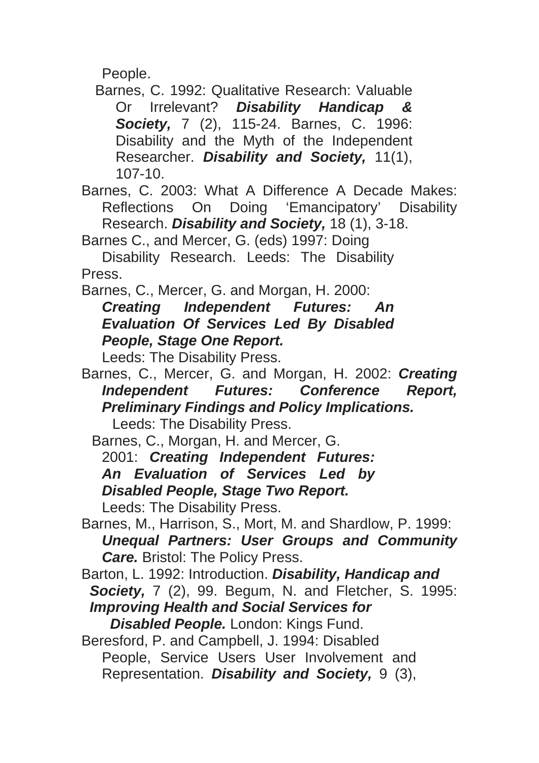People.

Barnes, C. 1992: Qualitative Research: Valuable Or Irrelevant? *Disability Handicap & Society,* 7 (2), 115-24. Barnes, C. 1996: Disability and the Myth of the Independent Researcher. *Disability and Society,* 11(1), 107-10.

Barnes, C. 2003: What A Difference A Decade Makes: Reflections On Doing 'Emancipatory' Disability Research. *Disability and Society,* 18 (1), 3-18.

Barnes C., and Mercer, G. (eds) 1997: Doing

Disability Research. Leeds: The Disability Press.

Barnes, C., Mercer, G. and Morgan, H. 2000:

*Creating Independent Futures: An Evaluation Of Services Led By Disabled People, Stage One Report.* 

Leeds: The Disability Press.

Barnes, C., Mercer, G. and Morgan, H. 2002: *Creating Independent Futures: Conference Report, Preliminary Findings and Policy Implications.*  Leeds: The Disability Press.

Barnes, C., Morgan, H. and Mercer, G. 2001: *Creating Independent Futures: An Evaluation of Services Led by Disabled People, Stage Two Report.*  Leeds: The Disability Press.

Barnes, M., Harrison, S., Mort, M. and Shardlow, P. 1999: *Unequal Partners: User Groups and Community Care.* Bristol: The Policy Press.

Barton, L. 1992: Introduction. *Disability, Handicap and Society,* 7 (2), 99. Begum, N. and Fletcher, S. 1995: *Improving Health and Social Services for Disabled People.* London: Kings Fund.

Beresford, P. and Campbell, J. 1994: Disabled People, Service Users User Involvement and Representation. *Disability and Society,* 9 (3),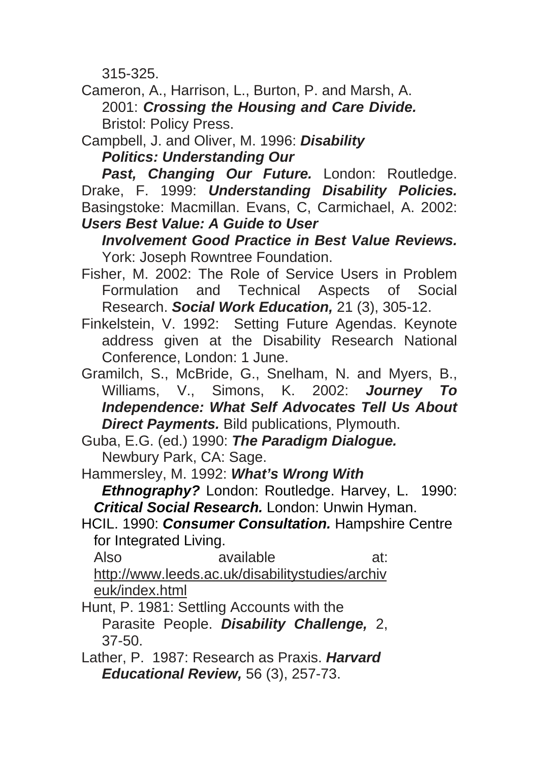315-325.

Cameron, A., Harrison, L., Burton, P. and Marsh, A. 2001: *Crossing the Housing and Care Divide.*  Bristol: Policy Press.

Campbell, J. and Oliver, M. 1996: *Disability Politics: Understanding Our* 

Past, Changing Our Future. London: Routledge. Drake, F. 1999: *Understanding Disability Policies.*  Basingstoke: Macmillan. Evans, C, Carmichael, A. 2002: *Users Best Value: A Guide to User* 

*Involvement Good Practice in Best Value Reviews.*  York: Joseph Rowntree Foundation.

Fisher, M. 2002: The Role of Service Users in Problem Formulation and Technical Aspects of Social Research. *Social Work Education,* 21 (3), 305-12.

Finkelstein, V. 1992: Setting Future Agendas. Keynote address given at the Disability Research National Conference, London: 1 June.

Gramilch, S., McBride, G., Snelham, N. and Myers, B., Williams, V., Simons, K. 2002: *Journey To Independence: What Self Advocates Tell Us About Direct Payments.* Bild publications, Plymouth.

Guba, E.G. (ed.) 1990: *The Paradigm Dialogue.*  Newbury Park, CA: Sage.

Hammersley, M. 1992: *What's Wrong With Ethnography?* London: Routledge. Harvey, L. 1990:

*Critical Social Research.* London: Unwin Hyman.

HCIL. 1990: *Consumer Consultation.* Hampshire Centre for Integrated Living.

Also available at: http://www.leeds.ac.uk/disabilitystudies/archiv euk/index.html

- Hunt, P. 1981: Settling Accounts with the Parasite People. *Disability Challenge,* 2, 37-50.
- Lather, P. 1987: Research as Praxis. *Harvard Educational Review,* 56 (3), 257-73.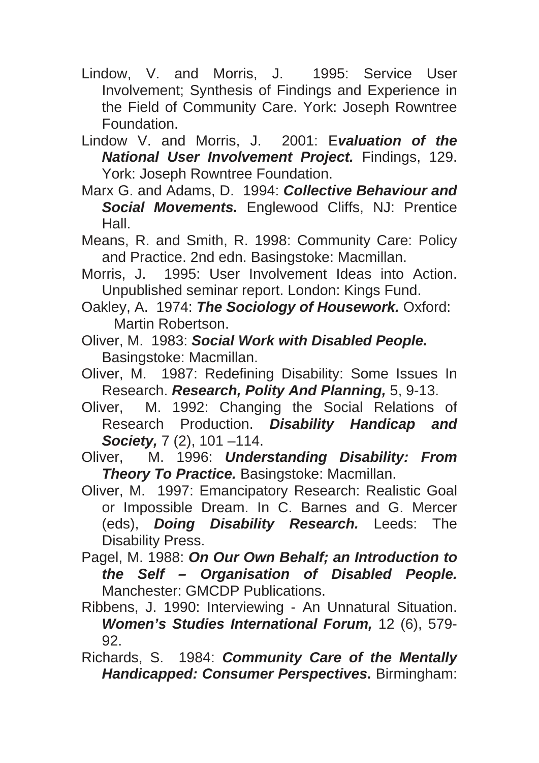- Lindow, V. and Morris, J. 1995: Service User Involvement; Synthesis of Findings and Experience in the Field of Community Care. York: Joseph Rowntree Foundation.
- Lindow V. and Morris, J. 2001: E*valuation of the National User Involvement Project.* Findings, 129. York: Joseph Rowntree Foundation.
- Marx G. and Adams, D. 1994: *Collective Behaviour and Social Movements.* Englewood Cliffs, NJ: Prentice Hall.
- Means, R. and Smith, R. 1998: Community Care: Policy and Practice. 2nd edn. Basingstoke: Macmillan.
- Morris, J. 1995: User Involvement Ideas into Action. Unpublished seminar report. London: Kings Fund.
- Oakley, A. 1974: *The Sociology of Housework.* Oxford: Martin Robertson.
- Oliver, M. 1983: *Social Work with Disabled People.*  Basingstoke: Macmillan.
- Oliver, M. 1987: Redefining Disability: Some Issues In Research. *Research, Polity And Planning,* 5, 9-13.
- Oliver, M. 1992: Changing the Social Relations of Research Production. *Disability Handicap and Society,* 7 (2), 101 –114.
- Oliver, M. 1996: *Understanding Disability: From Theory To Practice. Basingstoke: Macmillan.*
- Oliver, M. 1997: Emancipatory Research: Realistic Goal or Impossible Dream. In C. Barnes and G. Mercer (eds), *Doing Disability Research.* Leeds: The Disability Press.
- Pagel, M. 1988: *On Our Own Behalf; an Introduction to the Self – Organisation of Disabled People.*  Manchester: GMCDP Publications.
- Ribbens, J. 1990: Interviewing An Unnatural Situation. *Women's Studies International Forum,* 12 (6), 579- 92.
- Richards, S. 1984: *Community Care of the Mentally Handicapped: Consumer Perspectives.* Birmingham: